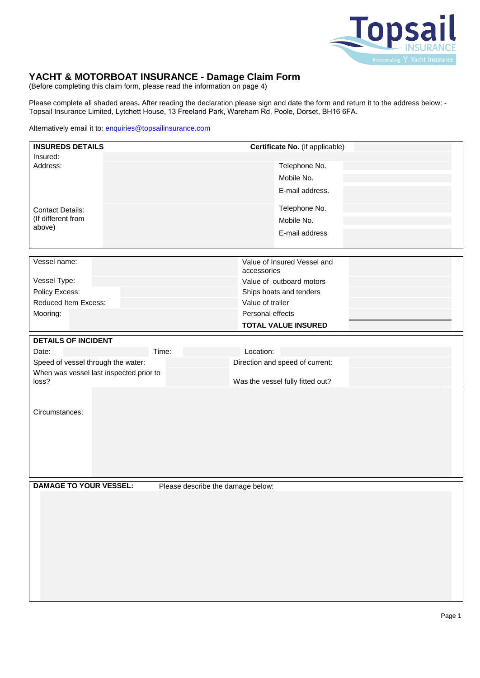

# **YACHT & MOTORBOAT INSURANCE - Damage Claim Form**

(Before completing this claim form, please read the information on page 4)

Please complete all shaded areas**.** After reading the declaration please sign and date the form and return it to the address below: - Topsail Insurance Limited, Lytchett House, 13 Freeland Park, Wareham Rd, Poole, Dorset, BH16 6FA.

### Alternatively email it to: enquiries@topsailinsurance.com

| <b>INSUREDS DETAILS</b>                          | Certificate No. (if applicable)             |
|--------------------------------------------------|---------------------------------------------|
| Insured:                                         |                                             |
| Address:                                         | Telephone No.                               |
|                                                  | Mobile No.                                  |
|                                                  | E-mail address.                             |
| <b>Contact Details:</b>                          | Telephone No.                               |
| (If different from                               | Mobile No.                                  |
| above)                                           | E-mail address                              |
|                                                  |                                             |
| Vessel name:                                     | Value of Insured Vessel and                 |
|                                                  | accessories                                 |
| Vessel Type:                                     | Value of outboard motors                    |
| Policy Excess:<br>Reduced Item Excess:           | Ships boats and tenders<br>Value of trailer |
| Mooring:                                         | Personal effects                            |
|                                                  | <b>TOTAL VALUE INSURED</b>                  |
| <b>DETAILS OF INCIDENT</b>                       |                                             |
| Date:                                            | Location:<br>Time:                          |
| Speed of vessel through the water:               | Direction and speed of current:             |
| When was vessel last inspected prior to<br>loss? | Was the vessel fully fitted out?            |
|                                                  |                                             |
|                                                  |                                             |
| Circumstances:                                   |                                             |
|                                                  |                                             |
|                                                  |                                             |
|                                                  |                                             |
|                                                  |                                             |
|                                                  |                                             |
| <b>DAMAGE TO YOUR VESSEL:</b>                    | Please describe the damage below:           |
|                                                  |                                             |
|                                                  |                                             |
|                                                  |                                             |
|                                                  |                                             |
|                                                  |                                             |
|                                                  |                                             |
|                                                  |                                             |
|                                                  |                                             |
|                                                  |                                             |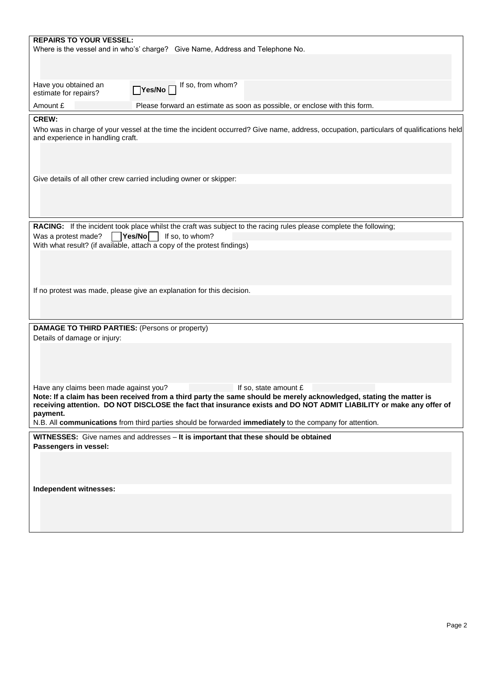| <b>REPAIRS TO YOUR VESSEL:</b>                                                                                                                                                                                                                                                                                |                                                                                                                                        |  |  |  |
|---------------------------------------------------------------------------------------------------------------------------------------------------------------------------------------------------------------------------------------------------------------------------------------------------------------|----------------------------------------------------------------------------------------------------------------------------------------|--|--|--|
|                                                                                                                                                                                                                                                                                                               | Where is the vessel and in who's' charge? Give Name, Address and Telephone No.                                                         |  |  |  |
|                                                                                                                                                                                                                                                                                                               |                                                                                                                                        |  |  |  |
| Have you obtained an                                                                                                                                                                                                                                                                                          | Ves/No If so, from whom?                                                                                                               |  |  |  |
| estimate for repairs?                                                                                                                                                                                                                                                                                         |                                                                                                                                        |  |  |  |
| Amount £                                                                                                                                                                                                                                                                                                      | Please forward an estimate as soon as possible, or enclose with this form.                                                             |  |  |  |
| <b>CREW:</b><br>and experience in handling craft.                                                                                                                                                                                                                                                             | Who was in charge of your vessel at the time the incident occurred? Give name, address, occupation, particulars of qualifications held |  |  |  |
|                                                                                                                                                                                                                                                                                                               |                                                                                                                                        |  |  |  |
| Give details of all other crew carried including owner or skipper:                                                                                                                                                                                                                                            |                                                                                                                                        |  |  |  |
|                                                                                                                                                                                                                                                                                                               |                                                                                                                                        |  |  |  |
|                                                                                                                                                                                                                                                                                                               | RACING: If the incident took place whilst the craft was subject to the racing rules please complete the following;                     |  |  |  |
| Yes/No<br>Was a protest made?<br>With what result? (if available, attach a copy of the protest findings)                                                                                                                                                                                                      | If so, to whom?                                                                                                                        |  |  |  |
|                                                                                                                                                                                                                                                                                                               |                                                                                                                                        |  |  |  |
|                                                                                                                                                                                                                                                                                                               |                                                                                                                                        |  |  |  |
|                                                                                                                                                                                                                                                                                                               |                                                                                                                                        |  |  |  |
| If no protest was made, please give an explanation for this decision.                                                                                                                                                                                                                                         |                                                                                                                                        |  |  |  |
|                                                                                                                                                                                                                                                                                                               |                                                                                                                                        |  |  |  |
| <b>DAMAGE TO THIRD PARTIES: (Persons or property)</b>                                                                                                                                                                                                                                                         |                                                                                                                                        |  |  |  |
| Details of damage or injury:                                                                                                                                                                                                                                                                                  |                                                                                                                                        |  |  |  |
|                                                                                                                                                                                                                                                                                                               |                                                                                                                                        |  |  |  |
|                                                                                                                                                                                                                                                                                                               |                                                                                                                                        |  |  |  |
| Have any claims been made against you?<br>If so, state amount £<br>Note: If a claim has been received from a third party the same should be merely acknowledged, stating the matter is<br>receiving attention. DO NOT DISCLOSE the fact that insurance exists and DO NOT ADMIT LIABILITY or make any offer of |                                                                                                                                        |  |  |  |
| payment.                                                                                                                                                                                                                                                                                                      | N.B. All communications from third parties should be forwarded immediately to the company for attention.                               |  |  |  |
|                                                                                                                                                                                                                                                                                                               |                                                                                                                                        |  |  |  |
|                                                                                                                                                                                                                                                                                                               | WITNESSES: Give names and addresses - It is important that these should be obtained                                                    |  |  |  |
| Passengers in vessel:                                                                                                                                                                                                                                                                                         |                                                                                                                                        |  |  |  |
|                                                                                                                                                                                                                                                                                                               |                                                                                                                                        |  |  |  |
|                                                                                                                                                                                                                                                                                                               |                                                                                                                                        |  |  |  |
| Independent witnesses:                                                                                                                                                                                                                                                                                        |                                                                                                                                        |  |  |  |
|                                                                                                                                                                                                                                                                                                               |                                                                                                                                        |  |  |  |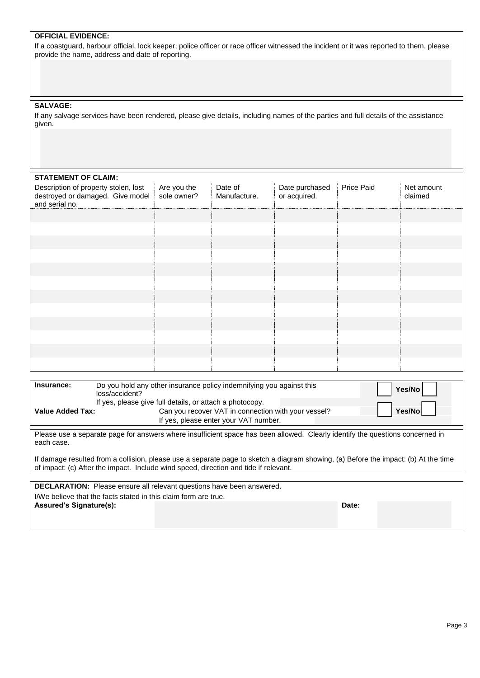|  | <b>OFFICIAL EVIDENCE:</b> |
|--|---------------------------|
|--|---------------------------|

If a coastguard, harbour official, lock keeper, police officer or race officer witnessed the incident or it was reported to them, please provide the name, address and date of reporting.

### **SALVAGE:**

If any salvage services have been rendered, please give details, including names of the parties and full details of the assistance given.

## **STATEMENT OF CLAIM-**

| <b>JIAILMENI UF ULAIM.</b>                                                                 |                            |                         |                                |            |                       |
|--------------------------------------------------------------------------------------------|----------------------------|-------------------------|--------------------------------|------------|-----------------------|
| Description of property stolen, lost<br>destroyed or damaged. Give model<br>and serial no. | Are you the<br>sole owner? | Date of<br>Manufacture. | Date purchased<br>or acquired. | Price Paid | Net amount<br>claimed |
|                                                                                            |                            |                         |                                |            |                       |
|                                                                                            |                            |                         |                                |            |                       |
|                                                                                            |                            |                         |                                |            |                       |
|                                                                                            |                            |                         |                                |            |                       |
|                                                                                            |                            |                         |                                |            |                       |
|                                                                                            |                            |                         |                                |            |                       |
|                                                                                            |                            |                         |                                |            |                       |
|                                                                                            |                            |                         |                                |            |                       |
|                                                                                            |                            |                         |                                |            |                       |
|                                                                                            |                            |                         |                                |            |                       |
|                                                                                            |                            |                         |                                |            |                       |
|                                                                                            |                            |                         |                                |            |                       |
|                                                                                            |                            |                         |                                |            |                       |

| Insurance:              | Do you hold any other insurance policy indemnifying you against this<br>loss/accident?                                                                   | 'Yes/No |
|-------------------------|----------------------------------------------------------------------------------------------------------------------------------------------------------|---------|
| <b>Value Added Tax:</b> | If yes, please give full details, or attach a photocopy.<br>Can you recover VAT in connection with your vessel?<br>If yes, please enter your VAT number. | Yes/Nol |
| $- \cdot$               | .<br>$\cdots$<br>$\cdots$<br>                                                                                                                            | . .     |

Please use a separate page for answers where insufficient space has been allowed. Clearly identify the questions concerned in each case.

If damage resulted from a collision, please use a separate page to sketch a diagram showing, (a) Before the impact: (b) At the time of impact: (c) After the impact. Include wind speed, direction and tide if relevant.

**DECLARATION:** Please ensure all relevant questions have been answered. I/We believe that the facts stated in this claim form are true. **Assured's Signature(s): Date:**